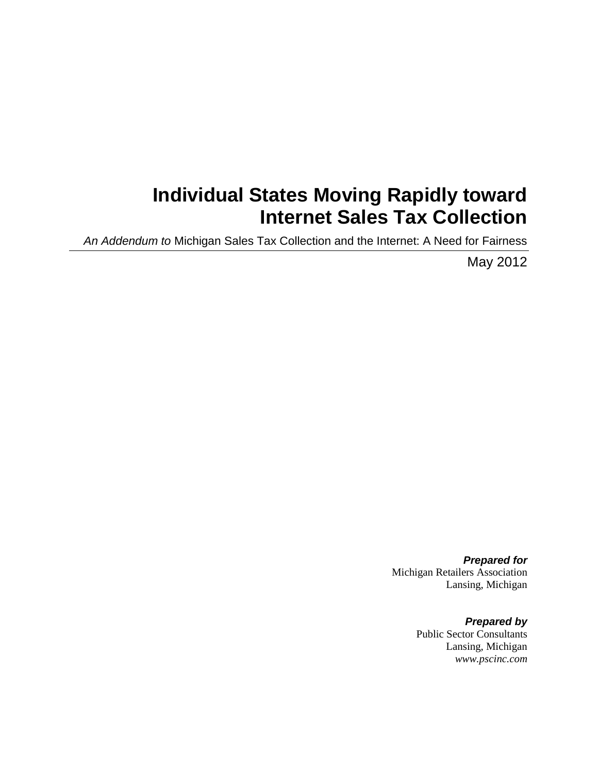# **Individual States Moving Rapidly toward Internet Sales Tax Collection**

*An Addendum to* Michigan Sales Tax Collection and the Internet: A Need for Fairness

May 2012

*Prepared for* Michigan Retailers Association Lansing, Michigan

> *Prepared by* Public Sector Consultants Lansing, Michigan *www.pscinc.com*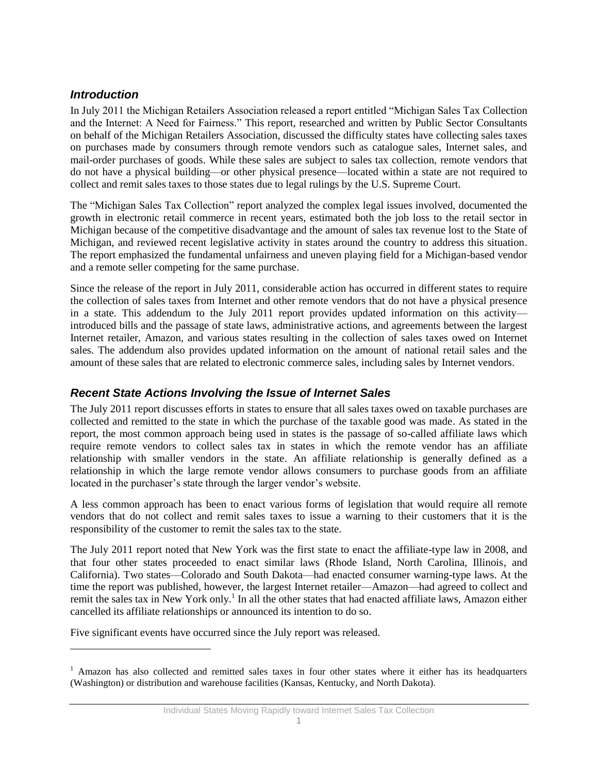## *Introduction*

l

In July 2011 the Michigan Retailers Association released a report entitled "Michigan Sales Tax Collection and the Internet: A Need for Fairness." This report, researched and written by Public Sector Consultants on behalf of the Michigan Retailers Association, discussed the difficulty states have collecting sales taxes on purchases made by consumers through remote vendors such as catalogue sales, Internet sales, and mail-order purchases of goods. While these sales are subject to sales tax collection, remote vendors that do not have a physical building—or other physical presence—located within a state are not required to collect and remit sales taxes to those states due to legal rulings by the U.S. Supreme Court.

The "Michigan Sales Tax Collection" report analyzed the complex legal issues involved, documented the growth in electronic retail commerce in recent years, estimated both the job loss to the retail sector in Michigan because of the competitive disadvantage and the amount of sales tax revenue lost to the State of Michigan, and reviewed recent legislative activity in states around the country to address this situation. The report emphasized the fundamental unfairness and uneven playing field for a Michigan-based vendor and a remote seller competing for the same purchase.

Since the release of the report in July 2011, considerable action has occurred in different states to require the collection of sales taxes from Internet and other remote vendors that do not have a physical presence in a state. This addendum to the July 2011 report provides updated information on this activity introduced bills and the passage of state laws, administrative actions, and agreements between the largest Internet retailer, Amazon, and various states resulting in the collection of sales taxes owed on Internet sales. The addendum also provides updated information on the amount of national retail sales and the amount of these sales that are related to electronic commerce sales, including sales by Internet vendors.

## *Recent State Actions Involving the Issue of Internet Sales*

The July 2011 report discusses efforts in states to ensure that all sales taxes owed on taxable purchases are collected and remitted to the state in which the purchase of the taxable good was made. As stated in the report, the most common approach being used in states is the passage of so-called affiliate laws which require remote vendors to collect sales tax in states in which the remote vendor has an affiliate relationship with smaller vendors in the state. An affiliate relationship is generally defined as a relationship in which the large remote vendor allows consumers to purchase goods from an affiliate located in the purchaser's state through the larger vendor's website.

A less common approach has been to enact various forms of legislation that would require all remote vendors that do not collect and remit sales taxes to issue a warning to their customers that it is the responsibility of the customer to remit the sales tax to the state.

The July 2011 report noted that New York was the first state to enact the affiliate-type law in 2008, and that four other states proceeded to enact similar laws (Rhode Island, North Carolina, Illinois, and California). Two states—Colorado and South Dakota—had enacted consumer warning-type laws. At the time the report was published, however, the largest Internet retailer—Amazon—had agreed to collect and remit the sales tax in New York only.<sup>1</sup> In all the other states that had enacted affiliate laws, Amazon either cancelled its affiliate relationships or announced its intention to do so.

Five significant events have occurred since the July report was released.

<sup>&</sup>lt;sup>1</sup> Amazon has also collected and remitted sales taxes in four other states where it either has its headquarters (Washington) or distribution and warehouse facilities (Kansas, Kentucky, and North Dakota).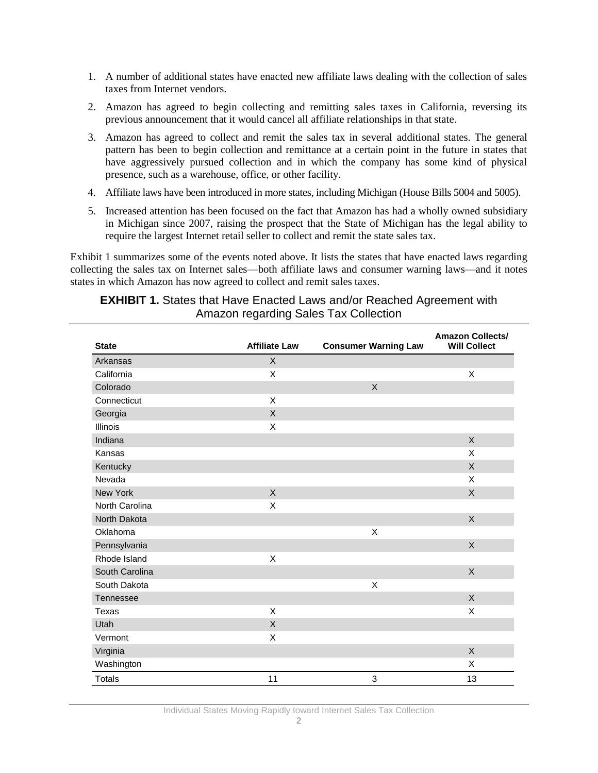- 1. A number of additional states have enacted new affiliate laws dealing with the collection of sales taxes from Internet vendors.
- 2. Amazon has agreed to begin collecting and remitting sales taxes in California, reversing its previous announcement that it would cancel all affiliate relationships in that state.
- 3. Amazon has agreed to collect and remit the sales tax in several additional states. The general pattern has been to begin collection and remittance at a certain point in the future in states that have aggressively pursued collection and in which the company has some kind of physical presence, such as a warehouse, office, or other facility.
- 4. Affiliate laws have been introduced in more states, including Michigan (House Bills 5004 and 5005).
- 5. Increased attention has been focused on the fact that Amazon has had a wholly owned subsidiary in Michigan since 2007, raising the prospect that the State of Michigan has the legal ability to require the largest Internet retail seller to collect and remit the state sales tax.

Exhibit 1 summarizes some of the events noted above. It lists the states that have enacted laws regarding collecting the sales tax on Internet sales—both affiliate laws and consumer warning laws—and it notes states in which Amazon has now agreed to collect and remit sales taxes.

### **EXHIBIT 1.** States that Have Enacted Laws and/or Reached Agreement with Amazon regarding Sales Tax Collection

| <b>State</b>     | <b>Affiliate Law</b> | <b>Consumer Warning Law</b> | <b>Amazon Collects/</b><br><b>Will Collect</b> |
|------------------|----------------------|-----------------------------|------------------------------------------------|
| Arkansas         | $\mathsf{X}$         |                             |                                                |
| California       | X                    |                             | X                                              |
| Colorado         |                      | $\mathsf{X}$                |                                                |
| Connecticut      | X                    |                             |                                                |
| Georgia          | $\mathsf{X}$         |                             |                                                |
| <b>Illinois</b>  | X                    |                             |                                                |
| Indiana          |                      |                             | $\sf X$                                        |
| Kansas           |                      |                             | X                                              |
| Kentucky         |                      |                             | X                                              |
| Nevada           |                      |                             | X                                              |
| New York         | $\mathsf{X}$         |                             | X                                              |
| North Carolina   | X                    |                             |                                                |
| North Dakota     |                      |                             | X                                              |
| Oklahoma         |                      | X                           |                                                |
| Pennsylvania     |                      |                             | X                                              |
| Rhode Island     | X                    |                             |                                                |
| South Carolina   |                      |                             | X                                              |
| South Dakota     |                      | X                           |                                                |
| <b>Tennessee</b> |                      |                             | X                                              |
| Texas            | X                    |                             | X                                              |
| Utah             | $\sf X$              |                             |                                                |
| Vermont          | X                    |                             |                                                |
| Virginia         |                      |                             | X                                              |
| Washington       |                      |                             | X                                              |
| <b>Totals</b>    | 11                   | 3                           | 13                                             |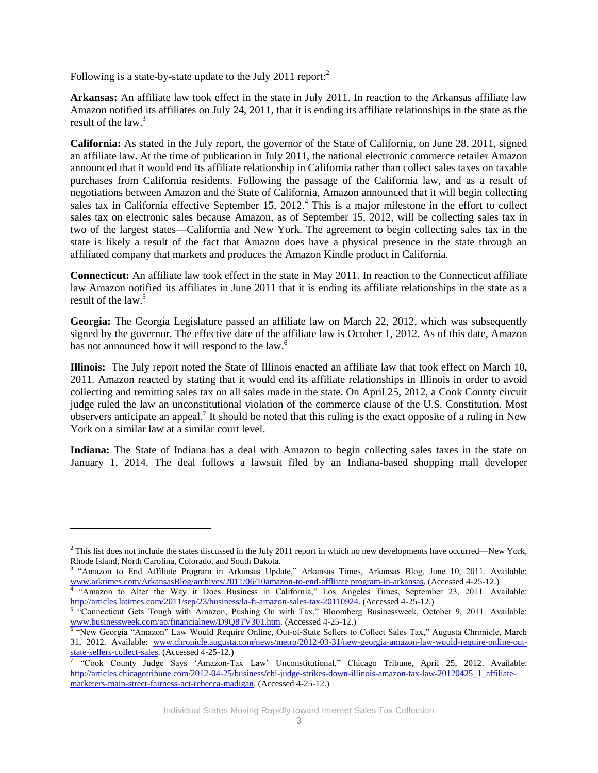Following is a state-by-state update to the July 2011 report:<sup>2</sup>

 $\overline{\phantom{a}}$ 

**Arkansas:** An affiliate law took effect in the state in July 2011. In reaction to the Arkansas affiliate law Amazon notified its affiliates on July 24, 2011, that it is ending its affiliate relationships in the state as the result of the law.<sup>3</sup>

**California:** As stated in the July report, the governor of the State of California, on June 28, 2011, signed an affiliate law. At the time of publication in July 2011, the national electronic commerce retailer Amazon announced that it would end its affiliate relationship in California rather than collect sales taxes on taxable purchases from California residents. Following the passage of the California law, and as a result of negotiations between Amazon and the State of California, Amazon announced that it will begin collecting sales tax in California effective September 15, 2012.<sup>4</sup> This is a major milestone in the effort to collect sales tax on electronic sales because Amazon, as of September 15, 2012, will be collecting sales tax in two of the largest states—California and New York. The agreement to begin collecting sales tax in the state is likely a result of the fact that Amazon does have a physical presence in the state through an affiliated company that markets and produces the Amazon Kindle product in California.

**Connecticut:** An affiliate law took effect in the state in May 2011. In reaction to the Connecticut affiliate law Amazon notified its affiliates in June 2011 that it is ending its affiliate relationships in the state as a result of the law.<sup>5</sup>

**Georgia:** The Georgia Legislature passed an affiliate law on March 22, 2012, which was subsequently signed by the governor. The effective date of the affiliate law is October 1, 2012. As of this date, Amazon has not announced how it will respond to the law.<sup>6</sup>

**Illinois:** The July report noted the State of Illinois enacted an affiliate law that took effect on March 10, 2011. Amazon reacted by stating that it would end its affiliate relationships in Illinois in order to avoid collecting and remitting sales tax on all sales made in the state. On April 25, 2012, a Cook County circuit judge ruled the law an unconstitutional violation of the commerce clause of the U.S. Constitution. Most observers anticipate an appeal.<sup>7</sup> It should be noted that this ruling is the exact opposite of a ruling in New York on a similar law at a similar court level.

**Indiana:** The State of Indiana has a deal with Amazon to begin collecting sales taxes in the state on January 1, 2014. The deal follows a lawsuit filed by an Indiana-based shopping mall developer

 $2$  This list does not include the states discussed in the July 2011 report in which no new developments have occurred—New York, Rhode Island, North Carolina, Colorado, and South Dakota.

<sup>3</sup> "Amazon to End Affiliate Program in Arkansas Update," Arkansas Times, Arkansas Blog, June 10, 2011. Available: [www.arktimes.com/ArkansasBlog/archives/2011/06/10amazon-to-end-affliiate program-in-arkansas.](file:///C:/Users/dvannatter/AppData/Local/Temp/www.arktimes.com/ArkansasBlog/archives/2011/06/10amazon-to-end-affliiate%20program-in-arkansas) (Accessed 4-25-12.)<br><sup>4</sup> "Amazon to Alter the Way it Does Business in California," Los Angeles Times, September 23, 2011. Availab

[http://articles.latimes.com/2011/sep/23/business/la-fi-amazon-sales-tax-20110924.](http://articles.latimes.com/2011/sep/23/business/la-fi-amazon-sales-tax-20110924) (Accessed 4-25-12.)<br><sup>5</sup> "Connecticut Gets Tough with Amazon, Pushing On with Tax," Bloomberg Businessweek, October 9, 2011. Available:

[www.businessweek.com/ap/financialnew/D9Q8TV301.htm.](file:///C:/Users/dvannatter/AppData/Local/Temp/www.businessweek.com/ap/financialnew/D9Q8TV301.htm) (Accessed 4-25-12.)

<sup>&</sup>lt;sup>6</sup> "New Georgia "Amazon" Law Would Require Online, Out-of-State Sellers to Collect Sales Tax," Augusta Chronicle, March 31, 2012. Available: [www.chronicle.augusta.com/news/metro/2012-03-31/new-georgia-amazon-law-would-require-online-out](file:///C:/Users/dvannatter/AppData/Local/Temp/www.chronicle.augusta.com/news/metro/2012-03-31/new-georgia-amazon-law-would-require-online-out-state-sellers-collect-sales)[state-sellers-collect-sales.](file:///C:/Users/dvannatter/AppData/Local/Temp/www.chronicle.augusta.com/news/metro/2012-03-31/new-georgia-amazon-law-would-require-online-out-state-sellers-collect-sales) (Accessed 4-25-12.)

<sup>&</sup>quot;Cook County Judge Says 'Amazon-Tax Law' Unconstitutional," Chicago Tribune, April 25, 2012. Available: [http://articles.chicagotribune.com/2012-04-25/business/chi-judge-strikes-down-illinois-amazon-tax-law-20120425\\_1\\_affiliate](http://articles.chicagotribune.com/2012-04-25/business/chi-judge-strikes-down-illinois-amazon-tax-law-20120425_1_affiliate-marketers-main-street-fairness-act-rebecca-madigan)[marketers-main-street-fairness-act-rebecca-madigan.](http://articles.chicagotribune.com/2012-04-25/business/chi-judge-strikes-down-illinois-amazon-tax-law-20120425_1_affiliate-marketers-main-street-fairness-act-rebecca-madigan) (Accessed 4-25-12.)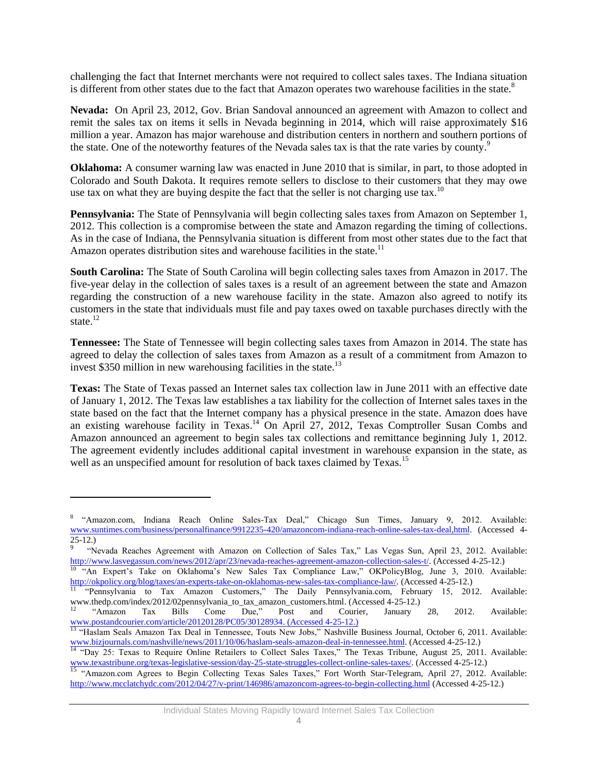challenging the fact that Internet merchants were not required to collect sales taxes. The Indiana situation is different from other states due to the fact that Amazon operates two warehouse facilities in the state.<sup>8</sup>

**Nevada:** On April 23, 2012, Gov. Brian Sandoval announced an agreement with Amazon to collect and remit the sales tax on items it sells in Nevada beginning in 2014, which will raise approximately \$16 million a year. Amazon has major warehouse and distribution centers in northern and southern portions of the state. One of the noteworthy features of the Nevada sales tax is that the rate varies by county.<sup>9</sup>

**Oklahoma:** A consumer warning law was enacted in June 2010 that is similar, in part, to those adopted in Colorado and South Dakota. It requires remote sellers to disclose to their customers that they may owe use tax on what they are buying despite the fact that the seller is not charging use tax.<sup>10</sup>

**Pennsylvania:** The State of Pennsylvania will begin collecting sales taxes from Amazon on September 1, 2012. This collection is a compromise between the state and Amazon regarding the timing of collections. As in the case of Indiana, the Pennsylvania situation is different from most other states due to the fact that Amazon operates distribution sites and warehouse facilities in the state.<sup>11</sup>

**South Carolina:** The State of South Carolina will begin collecting sales taxes from Amazon in 2017. The five-year delay in the collection of sales taxes is a result of an agreement between the state and Amazon regarding the construction of a new warehouse facility in the state. Amazon also agreed to notify its customers in the state that individuals must file and pay taxes owed on taxable purchases directly with the state. $12$ 

**Tennessee:** The State of Tennessee will begin collecting sales taxes from Amazon in 2014. The state has agreed to delay the collection of sales taxes from Amazon as a result of a commitment from Amazon to invest \$350 million in new warehousing facilities in the state.<sup>13</sup>

**Texas:** The State of Texas passed an Internet sales tax collection law in June 2011 with an effective date of January 1, 2012. The Texas law establishes a tax liability for the collection of Internet sales taxes in the state based on the fact that the Internet company has a physical presence in the state. Amazon does have an existing warehouse facility in Texas.<sup>14</sup> On April 27, 2012, Texas Comptroller Susan Combs and Amazon announced an agreement to begin sales tax collections and remittance beginning July 1, 2012. The agreement evidently includes additional capital investment in warehouse expansion in the state, as well as an unspecified amount for resolution of back taxes claimed by Texas.<sup>15</sup>

 $\overline{\phantom{a}}$ 

<sup>&</sup>lt;sup>8</sup> "Amazon.com, Indiana Reach Online Sales-Tax Deal," Chicago Sun Times, January 9, 2012. Available: [www.suntimes.com/business/personalfinance/9912235-420/amazoncom-indiana-reach-online-sales-tax-deal,html.](file:///C:/Users/dvannatter/AppData/Local/Temp/www.suntimes.com/business/personalfinance/9912235-420/amazoncom-indiana-reach-online-sales-tax-deal,html) (Accessed 4- 25-12.)

<sup>9</sup> "Nevada Reaches Agreement with Amazon on Collection of Sales Tax," Las Vegas Sun, April 23, 2012. Available: [http://www.lasvegassun.com/news/2012/apr/23/nevada-reaches-agreement-amazon-collection-sales-t/.](http://www.lasvegassun.com/news/2012/apr/23/nevada-reaches-agreement-amazon-collection-sales-t/) (Accessed 4-25-12.)

<sup>&</sup>lt;sup>10</sup> "An Expert's Take on Oklahoma's New Sales Tax Compliance Law," OKPolicyBlog, June 3, 2010. Available: [http://okpolicy.org/blog/taxes/an-experts-take-on-oklahomas-new-sales-tax-compliance-law/.](http://okpolicy.org/blog/taxes/an-experts-take-on-oklahomas-new-sales-tax-compliance-law/) (Accessed 4-25-12.)

<sup>11</sup> "Pennsylvania to Tax Amazon Customers," The Daily Pennsylvania.com, February 15, 2012. Available: www.thedp.com/index/2012/02pennsylvania\_to\_tax\_amazon\_customers.html. (Accessed 4-25-12.)<br><sup>12</sup> "Amazon Tax Bills Come Due," Post and Courier, January

<sup>&</sup>lt;sup>12</sup> "Amazon Tax Bills Come Due," Post and Courier, January 28, 2012. Available: [www.postandcourier.com/article/20120128/PC05/30128934.](http://www.postandcourier.com/article/20120128/PC05/30128934) (Accessed 4-25-12.)

<sup>&</sup>lt;sup>13</sup> "Haslam Seals Amazon Tax Deal in Tennessee, Touts New Jobs," Nashville Business Journal, October 6, 2011. Available: [www.bizjournals.com/nashville/news/2011/10/06/haslam-seals-amazon-deal-in-tennessee.html.](file:///C:/Documents%20and%20Settings/ksikkema/Local%20Settings/Temp/www.bizjournals.com/nashville/news/2011/10/06/haslam-seals-amazon-deal-in-tennessee.html) (Accessed 4-25-12.)

<sup>&</sup>lt;sup>14</sup> "Day 25: Texas to Require Online Retailers to Collect Sales Taxes," The Texas Tribune, August 25, 2011. Available: [www.texastribune.org/texas-legislative-session/day-25-state-struggles-collect-online-sales-taxes/.](file:///C:/Documents%20and%20Settings/ksikkema/Local%20Settings/Temp/www.texastribune.org/texas-legislative-session/day-25-state-struggles-collect-online-sales-taxes/) (Accessed 4-25-12.)

<sup>&</sup>lt;sup>15</sup> "Amazon.com Agrees to Begin Collecting Texas Sales Taxes," Fort Worth Star-Telegram, April 27, 2012. Available: <http://www.mcclatchydc.com/2012/04/27/v-print/146986/amazoncom-agrees-to-begin-collecting.html> (Accessed 4-25-12.)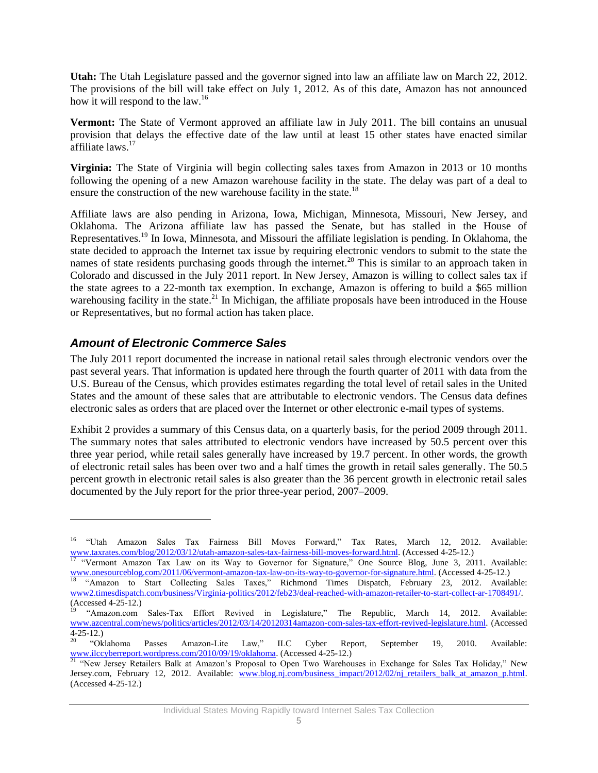**Utah:** The Utah Legislature passed and the governor signed into law an affiliate law on March 22, 2012. The provisions of the bill will take effect on July 1, 2012. As of this date, Amazon has not announced how it will respond to the law.<sup>16</sup>

**Vermont:** The State of Vermont approved an affiliate law in July 2011. The bill contains an unusual provision that delays the effective date of the law until at least 15 other states have enacted similar affiliate laws.<sup>17</sup>

**Virginia:** The State of Virginia will begin collecting sales taxes from Amazon in 2013 or 10 months following the opening of a new Amazon warehouse facility in the state. The delay was part of a deal to ensure the construction of the new warehouse facility in the state.<sup>18</sup>

Affiliate laws are also pending in Arizona, Iowa, Michigan, Minnesota, Missouri, New Jersey, and Oklahoma. The Arizona affiliate law has passed the Senate, but has stalled in the House of Representatives.<sup>19</sup> In Iowa, Minnesota, and Missouri the affiliate legislation is pending. In Oklahoma, the state decided to approach the Internet tax issue by requiring electronic vendors to submit to the state the names of state residents purchasing goods through the internet.<sup>20</sup> This is similar to an approach taken in Colorado and discussed in the July 2011 report. In New Jersey, Amazon is willing to collect sales tax if the state agrees to a 22-month tax exemption. In exchange, Amazon is offering to build a \$65 million warehousing facility in the state.<sup>21</sup> In Michigan, the affiliate proposals have been introduced in the House or Representatives, but no formal action has taken place.

## *Amount of Electronic Commerce Sales*

l

The July 2011 report documented the increase in national retail sales through electronic vendors over the past several years. That information is updated here through the fourth quarter of 2011 with data from the U.S. Bureau of the Census, which provides estimates regarding the total level of retail sales in the United States and the amount of these sales that are attributable to electronic vendors. The Census data defines electronic sales as orders that are placed over the Internet or other electronic e-mail types of systems.

Exhibit 2 provides a summary of this Census data, on a quarterly basis, for the period 2009 through 2011. The summary notes that sales attributed to electronic vendors have increased by 50.5 percent over this three year period, while retail sales generally have increased by 19.7 percent. In other words, the growth of electronic retail sales has been over two and a half times the growth in retail sales generally. The 50.5 percent growth in electronic retail sales is also greater than the 36 percent growth in electronic retail sales documented by the July report for the prior three-year period, 2007–2009.

<sup>&</sup>lt;sup>16</sup> "Utah Amazon Sales Tax Fairness Bill Moves Forward," Tax Rates, March 12, 2012. Available: [www.taxrates.com/blog/2012/03/12/utah-amazon-sales-tax-fairness-bill-moves-forward.html.](file:///C:/Documents%20and%20Settings/ksikkema/Local%20Settings/Temp/www.taxrates.com/blog/2012/03/12/utah-amazon-sales-tax-fairness-bill-moves-forward.html) (Accessed 4-25-12.)

<sup>&</sup>lt;sup>17</sup> "Vermont Amazon Tax Law on its Way to Governor for Signature," One Source Blog, June 3, 2011. Available: [www.onesourceblog.com/2011/06/vermont-amazon-tax-law-on-its-way-to-governor-for-signature.html.](file:///C:/Documents%20and%20Settings/ksikkema/Local%20Settings/Temp/www.onesourceblog.com/2011/06/vermont-amazon-tax-law-on-its-way-to-governor-for-signature.html) (Accessed 4-25-12.)

<sup>&</sup>lt;sup>18</sup> "Amazon to Start Collecting Sales Taxes," Richmond Times Dispatch, February 23, 2012. Available: [www2.timesdispatch.com/business/Virginia-politics/2012/feb23/deal-reached-with-amazon-retailer-to-start-collect-ar-1708491/.](file:///C:/Documents%20and%20Settings/ksikkema/Local%20Settings/Temp/www2.timesdispatch.com/business/Virginia-politics/2012/feb23/deal-reached-with-amazon-retailer-to-start-collect-ar-1708491/)   $\frac{1000000}{(Accessed 4-25-12)}$ 

<sup>19</sup> "Amazon.com Sales-Tax Effort Revived in Legislature," The Republic, March 14, 2012. Available: [www.azcentral.com/news/politics/articles/2012/03/14/20120314amazon-com-sales-tax-effort-revived-legislature.html.](file:///C:/Documents%20and%20Settings/ksikkema/Local%20Settings/Temp/www.azcentral.com/news/politics/articles/2012/03/14/20120314amazon-com-sales-tax-effort-revived-legislature.html) (Accessed

<sup>4-25-12.)&</sup>lt;br><sup>20</sup> "Oklahoma <sup>20</sup> "Oklahoma Passes Amazon-Lite Law," ILC Cyber Report, September 19, 2010. Available: [www.ilccyberreport.wordpress.com/2010/09/19/oklahoma.](file:///C:/Documents%20and%20Settings/ksikkema/Local%20Settings/Temp/www.ilccyberreport.wordpress.com/2010/09/19/oklahoma) (Accessed 4-25-12.)

<sup>&</sup>lt;sup>21</sup> "New Jersey Retailers Balk at Amazon's Proposal to Open Two Warehouses in Exchange for Sales Tax Holiday," New Jersey.com, February 12, 2012. Available: [www.blog.nj.com/business\\_impact/2012/02/nj\\_retailers\\_balk\\_at\\_amazon\\_p.html.](file:///C:/Documents%20and%20Settings/ksikkema/Local%20Settings/Temp/www.blog.nj.com/business_impact/2012/02/nj_retailers_balk_at_amazon_p.html) (Accessed 4-25-12.)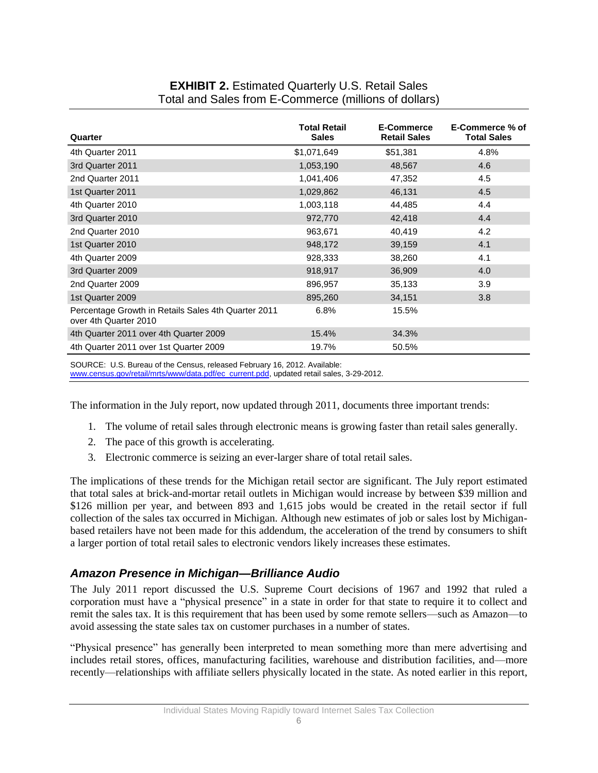## **EXHIBIT 2.** Estimated Quarterly U.S. Retail Sales Total and Sales from E-Commerce (millions of dollars)

| Quarter                                                                      | <b>Total Retail</b><br><b>Sales</b> | E-Commerce<br><b>Retail Sales</b> | E-Commerce % of<br><b>Total Sales</b> |
|------------------------------------------------------------------------------|-------------------------------------|-----------------------------------|---------------------------------------|
| 4th Quarter 2011                                                             | \$1,071,649                         | \$51,381                          | 4.8%                                  |
| 3rd Quarter 2011                                                             | 1,053,190                           | 48,567                            | 4.6                                   |
| 2nd Quarter 2011                                                             | 1,041,406                           | 47,352                            | 4.5                                   |
| 1st Quarter 2011                                                             | 1,029,862                           | 46,131                            | 4.5                                   |
| 4th Quarter 2010                                                             | 1,003,118                           | 44,485                            | 4.4                                   |
| 3rd Quarter 2010                                                             | 972,770                             | 42,418                            | 4.4                                   |
| 2nd Quarter 2010                                                             | 963,671                             | 40,419                            | 4.2                                   |
| 1st Quarter 2010                                                             | 948,172                             | 39,159                            | 4.1                                   |
| 4th Quarter 2009                                                             | 928,333                             | 38,260                            | 4.1                                   |
| 3rd Quarter 2009                                                             | 918,917                             | 36,909                            | 4.0                                   |
| 2nd Quarter 2009                                                             | 896,957                             | 35,133                            | 3.9                                   |
| 1st Quarter 2009                                                             | 895,260                             | 34,151                            | 3.8                                   |
| Percentage Growth in Retails Sales 4th Quarter 2011<br>over 4th Quarter 2010 | 6.8%                                | 15.5%                             |                                       |
| 4th Quarter 2011 over 4th Quarter 2009                                       | 15.4%                               | 34.3%                             |                                       |
| 4th Quarter 2011 over 1st Quarter 2009                                       | 19.7%                               | 50.5%                             |                                       |

SOURCE: U.S. Bureau of the Census, released February 16, 2012. Available:

[www.census.gov/retail/mrts/www/data.pdf/ec\\_current.pdd,](http://www.census.gov/retail/mrts/www/data.pdf/ec_current.pdd) updated retail sales, 3-29-2012.

The information in the July report, now updated through 2011, documents three important trends:

- 1. The volume of retail sales through electronic means is growing faster than retail sales generally.
- 2. The pace of this growth is accelerating.
- 3. Electronic commerce is seizing an ever-larger share of total retail sales.

The implications of these trends for the Michigan retail sector are significant. The July report estimated that total sales at brick-and-mortar retail outlets in Michigan would increase by between \$39 million and \$126 million per year, and between 893 and 1,615 jobs would be created in the retail sector if full collection of the sales tax occurred in Michigan. Although new estimates of job or sales lost by Michiganbased retailers have not been made for this addendum, the acceleration of the trend by consumers to shift a larger portion of total retail sales to electronic vendors likely increases these estimates.

### *Amazon Presence in Michigan—Brilliance Audio*

The July 2011 report discussed the U.S. Supreme Court decisions of 1967 and 1992 that ruled a corporation must have a "physical presence" in a state in order for that state to require it to collect and remit the sales tax. It is this requirement that has been used by some remote sellers—such as Amazon—to avoid assessing the state sales tax on customer purchases in a number of states.

"Physical presence" has generally been interpreted to mean something more than mere advertising and includes retail stores, offices, manufacturing facilities, warehouse and distribution facilities, and—more recently—relationships with affiliate sellers physically located in the state. As noted earlier in this report,